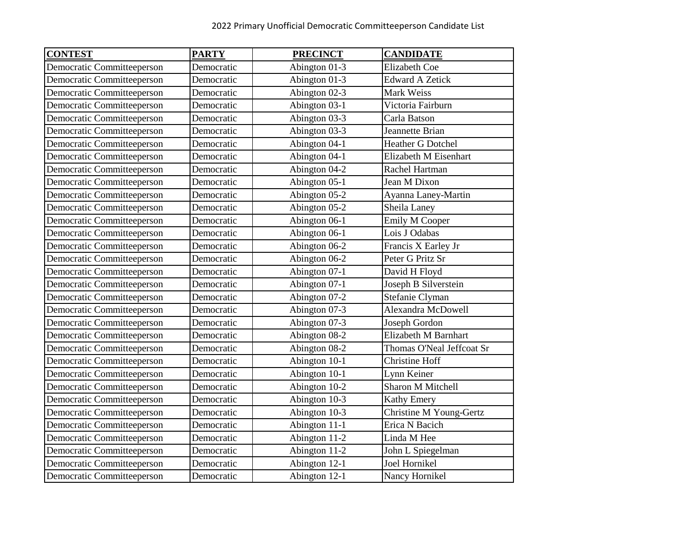| <b>CONTEST</b>             | <b>PARTY</b> | <b>PRECINCT</b> | <b>CANDIDATE</b>          |
|----------------------------|--------------|-----------------|---------------------------|
| Democratic Committeeperson | Democratic   | Abington 01-3   | <b>Elizabeth Coe</b>      |
| Democratic Committeeperson | Democratic   | Abington 01-3   | <b>Edward A Zetick</b>    |
| Democratic Committeeperson | Democratic   | Abington 02-3   | Mark Weiss                |
| Democratic Committeeperson | Democratic   | Abington 03-1   | Victoria Fairburn         |
| Democratic Committeeperson | Democratic   | Abington 03-3   | Carla Batson              |
| Democratic Committeeperson | Democratic   | Abington 03-3   | Jeannette Brian           |
| Democratic Committeeperson | Democratic   | Abington 04-1   | <b>Heather G Dotchel</b>  |
| Democratic Committeeperson | Democratic   | Abington 04-1   | Elizabeth M Eisenhart     |
| Democratic Committeeperson | Democratic   | Abington 04-2   | Rachel Hartman            |
| Democratic Committeeperson | Democratic   | Abington 05-1   | Jean M Dixon              |
| Democratic Committeeperson | Democratic   | Abington 05-2   | Ayanna Laney-Martin       |
| Democratic Committeeperson | Democratic   | Abington 05-2   | Sheila Laney              |
| Democratic Committeeperson | Democratic   | Abington 06-1   | Emily M Cooper            |
| Democratic Committeeperson | Democratic   | Abington 06-1   | Lois J Odabas             |
| Democratic Committeeperson | Democratic   | Abington 06-2   | Francis X Earley Jr       |
| Democratic Committeeperson | Democratic   | Abington 06-2   | Peter G Pritz Sr          |
| Democratic Committeeperson | Democratic   | Abington 07-1   | David H Floyd             |
| Democratic Committeeperson | Democratic   | Abington 07-1   | Joseph B Silverstein      |
| Democratic Committeeperson | Democratic   | Abington 07-2   | Stefanie Clyman           |
| Democratic Committeeperson | Democratic   | Abington 07-3   | Alexandra McDowell        |
| Democratic Committeeperson | Democratic   | Abington 07-3   | Joseph Gordon             |
| Democratic Committeeperson | Democratic   | Abington 08-2   | Elizabeth M Barnhart      |
| Democratic Committeeperson | Democratic   | Abington 08-2   | Thomas O'Neal Jeffcoat Sr |
| Democratic Committeeperson | Democratic   | Abington 10-1   | Christine Hoff            |
| Democratic Committeeperson | Democratic   | Abington 10-1   | Lynn Keiner               |
| Democratic Committeeperson | Democratic   | Abington 10-2   | Sharon M Mitchell         |
| Democratic Committeeperson | Democratic   | Abington 10-3   | Kathy Emery               |
| Democratic Committeeperson | Democratic   | Abington 10-3   | Christine M Young-Gertz   |
| Democratic Committeeperson | Democratic   | Abington 11-1   | Erica N Bacich            |
| Democratic Committeeperson | Democratic   | Abington 11-2   | Linda M Hee               |
| Democratic Committeeperson | Democratic   | Abington 11-2   | John L Spiegelman         |
| Democratic Committeeperson | Democratic   | Abington 12-1   | Joel Hornikel             |
| Democratic Committeeperson | Democratic   | Abington 12-1   | Nancy Hornikel            |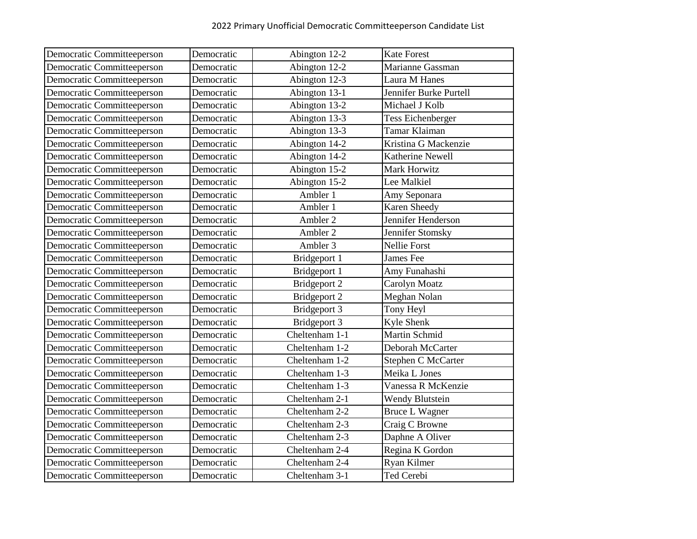| Democratic Committeeperson        | Democratic | Abington 12-2  | <b>Kate Forest</b>       |
|-----------------------------------|------------|----------------|--------------------------|
| Democratic Committeeperson        | Democratic | Abington 12-2  | Marianne Gassman         |
| Democratic Committeeperson        | Democratic | Abington 12-3  | Laura M Hanes            |
| Democratic Committeeperson        | Democratic | Abington 13-1  | Jennifer Burke Purtell   |
| Democratic Committeeperson        | Democratic | Abington 13-2  | Michael J Kolb           |
| Democratic Committeeperson        | Democratic | Abington 13-3  | <b>Tess Eichenberger</b> |
| Democratic Committeeperson        | Democratic | Abington 13-3  | Tamar Klaiman            |
| Democratic Committeeperson        | Democratic | Abington 14-2  | Kristina G Mackenzie     |
| Democratic Committeeperson        | Democratic | Abington 14-2  | Katherine Newell         |
| Democratic Committeeperson        | Democratic | Abington 15-2  | Mark Horwitz             |
| <b>Democratic Committeeperson</b> | Democratic | Abington 15-2  | Lee Malkiel              |
| <b>Democratic Committeeperson</b> | Democratic | Ambler 1       | Amy Seponara             |
| Democratic Committeeperson        | Democratic | Ambler 1       | Karen Sheedy             |
| Democratic Committeeperson        | Democratic | Ambler 2       | Jennifer Henderson       |
| Democratic Committeeperson        | Democratic | Ambler 2       | Jennifer Stomsky         |
| Democratic Committeeperson        | Democratic | Ambler 3       | <b>Nellie Forst</b>      |
| Democratic Committeeperson        | Democratic | Bridgeport 1   | James Fee                |
| Democratic Committeeperson        | Democratic | Bridgeport 1   | Amy Funahashi            |
| Democratic Committeeperson        | Democratic | Bridgeport 2   | Carolyn Moatz            |
| Democratic Committeeperson        | Democratic | Bridgeport 2   | Meghan Nolan             |
| Democratic Committeeperson        | Democratic | Bridgeport 3   | Tony Heyl                |
| Democratic Committeeperson        | Democratic | Bridgeport 3   | Kyle Shenk               |
| Democratic Committeeperson        | Democratic | Cheltenham 1-1 | Martin Schmid            |
| Democratic Committeeperson        | Democratic | Cheltenham 1-2 | Deborah McCarter         |
| Democratic Committeeperson        | Democratic | Cheltenham 1-2 | Stephen C McCarter       |
| Democratic Committeeperson        | Democratic | Cheltenham 1-3 | Meika L Jones            |
| Democratic Committeeperson        | Democratic | Cheltenham 1-3 | Vanessa R McKenzie       |
| Democratic Committeeperson        | Democratic | Cheltenham 2-1 | <b>Wendy Blutstein</b>   |
| Democratic Committeeperson        | Democratic | Cheltenham 2-2 | <b>Bruce L Wagner</b>    |
| Democratic Committeeperson        | Democratic | Cheltenham 2-3 | Craig C Browne           |
| Democratic Committeeperson        | Democratic | Cheltenham 2-3 | Daphne A Oliver          |
| Democratic Committeeperson        | Democratic | Cheltenham 2-4 | Regina K Gordon          |
| Democratic Committeeperson        | Democratic | Cheltenham 2-4 | Ryan Kilmer              |
| Democratic Committeeperson        | Democratic | Cheltenham 3-1 | Ted Cerebi               |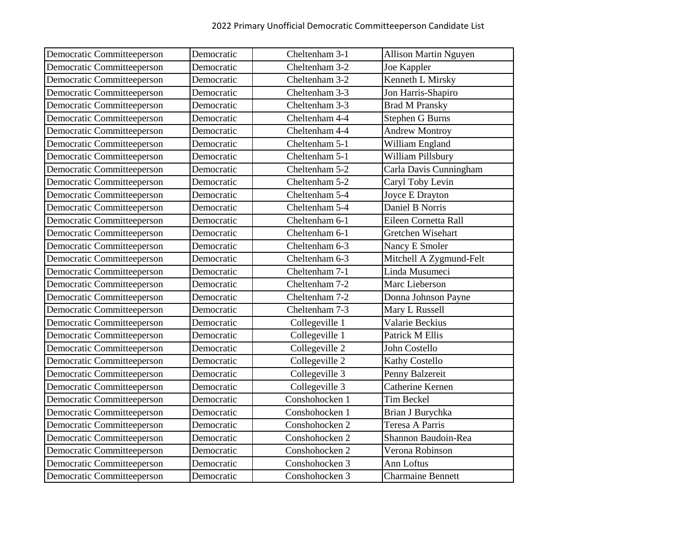| Democratic Committeeperson | Democratic | Cheltenham 3-1 | <b>Allison Martin Nguyen</b> |
|----------------------------|------------|----------------|------------------------------|
| Democratic Committeeperson | Democratic | Cheltenham 3-2 | Joe Kappler                  |
| Democratic Committeeperson | Democratic | Cheltenham 3-2 | Kenneth L Mirsky             |
| Democratic Committeeperson | Democratic | Cheltenham 3-3 | Jon Harris-Shapiro           |
| Democratic Committeeperson | Democratic | Cheltenham 3-3 | <b>Brad M Pransky</b>        |
| Democratic Committeeperson | Democratic | Cheltenham 4-4 | <b>Stephen G Burns</b>       |
| Democratic Committeeperson | Democratic | Cheltenham 4-4 | <b>Andrew Montroy</b>        |
| Democratic Committeeperson | Democratic | Cheltenham 5-1 | William England              |
| Democratic Committeeperson | Democratic | Cheltenham 5-1 | William Pillsbury            |
| Democratic Committeeperson | Democratic | Cheltenham 5-2 | Carla Davis Cunningham       |
| Democratic Committeeperson | Democratic | Cheltenham 5-2 | Caryl Toby Levin             |
| Democratic Committeeperson | Democratic | Cheltenham 5-4 | Joyce E Drayton              |
| Democratic Committeeperson | Democratic | Cheltenham 5-4 | Daniel B Norris              |
| Democratic Committeeperson | Democratic | Cheltenham 6-1 | Eileen Cornetta Rall         |
| Democratic Committeeperson | Democratic | Cheltenham 6-1 | Gretchen Wisehart            |
| Democratic Committeeperson | Democratic | Cheltenham 6-3 | Nancy E Smoler               |
| Democratic Committeeperson | Democratic | Cheltenham 6-3 | Mitchell A Zygmund-Felt      |
| Democratic Committeeperson | Democratic | Cheltenham 7-1 | Linda Musumeci               |
| Democratic Committeeperson | Democratic | Cheltenham 7-2 | Marc Lieberson               |
| Democratic Committeeperson | Democratic | Cheltenham 7-2 | Donna Johnson Payne          |
| Democratic Committeeperson | Democratic | Cheltenham 7-3 | Mary L Russell               |
| Democratic Committeeperson | Democratic | Collegeville 1 | Valarie Beckius              |
| Democratic Committeeperson | Democratic | Collegeville 1 | Patrick M Ellis              |
| Democratic Committeeperson | Democratic | Collegeville 2 | John Costello                |
| Democratic Committeeperson | Democratic | Collegeville 2 | Kathy Costello               |
| Democratic Committeeperson | Democratic | Collegeville 3 | Penny Balzereit              |
| Democratic Committeeperson | Democratic | Collegeville 3 | Catherine Kernen             |
| Democratic Committeeperson | Democratic | Conshohocken 1 | <b>Tim Beckel</b>            |
| Democratic Committeeperson | Democratic | Conshohocken 1 | Brian J Burychka             |
| Democratic Committeeperson | Democratic | Conshohocken 2 | Teresa A Parris              |
| Democratic Committeeperson | Democratic | Conshohocken 2 | Shannon Baudoin-Rea          |
| Democratic Committeeperson | Democratic | Conshohocken 2 | Verona Robinson              |
| Democratic Committeeperson | Democratic | Conshohocken 3 | Ann Loftus                   |
| Democratic Committeeperson | Democratic | Conshohocken 3 | <b>Charmaine Bennett</b>     |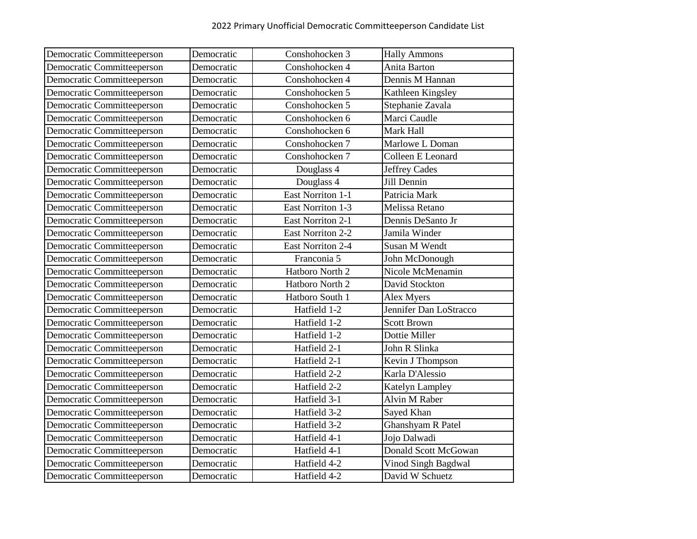| Democratic Committeeperson | Democratic | Conshohocken 3           | <b>Hally Ammons</b>    |
|----------------------------|------------|--------------------------|------------------------|
| Democratic Committeeperson | Democratic | Conshohocken 4           | Anita Barton           |
| Democratic Committeeperson | Democratic | Conshohocken 4           | Dennis M Hannan        |
| Democratic Committeeperson | Democratic | Conshohocken 5           | Kathleen Kingsley      |
| Democratic Committeeperson | Democratic | Conshohocken 5           | Stephanie Zavala       |
| Democratic Committeeperson | Democratic | Conshohocken 6           | Marci Caudle           |
| Democratic Committeeperson | Democratic | Conshohocken 6           | Mark Hall              |
| Democratic Committeeperson | Democratic | Conshohocken 7           | Marlowe L Doman        |
| Democratic Committeeperson | Democratic | Conshohocken 7           | Colleen E Leonard      |
| Democratic Committeeperson | Democratic | Douglass 4               | <b>Jeffrey Cades</b>   |
| Democratic Committeeperson | Democratic | Douglass 4               | Jill Dennin            |
| Democratic Committeeperson | Democratic | <b>East Norriton 1-1</b> | Patricia Mark          |
| Democratic Committeeperson | Democratic | East Norriton 1-3        | Melissa Retano         |
| Democratic Committeeperson | Democratic | <b>East Norriton 2-1</b> | Dennis DeSanto Jr      |
| Democratic Committeeperson | Democratic | <b>East Norriton 2-2</b> | Jamila Winder          |
| Democratic Committeeperson | Democratic | <b>East Norriton 2-4</b> | Susan M Wendt          |
| Democratic Committeeperson | Democratic | Franconia 5              | John McDonough         |
| Democratic Committeeperson | Democratic | Hatboro North 2          | Nicole McMenamin       |
| Democratic Committeeperson | Democratic | Hatboro North 2          | David Stockton         |
| Democratic Committeeperson | Democratic | Hatboro South 1          | Alex Myers             |
| Democratic Committeeperson | Democratic | Hatfield 1-2             | Jennifer Dan LoStracco |
| Democratic Committeeperson | Democratic | Hatfield 1-2             | <b>Scott Brown</b>     |
| Democratic Committeeperson | Democratic | Hatfield 1-2             | Dottie Miller          |
| Democratic Committeeperson | Democratic | Hatfield 2-1             | John R Slinka          |
| Democratic Committeeperson | Democratic | Hatfield 2-1             | Kevin J Thompson       |
| Democratic Committeeperson | Democratic | Hatfield 2-2             | Karla D'Alessio        |
| Democratic Committeeperson | Democratic | Hatfield 2-2             | <b>Katelyn Lampley</b> |
| Democratic Committeeperson | Democratic | Hatfield 3-1             | Alvin M Raber          |
| Democratic Committeeperson | Democratic | Hatfield 3-2             | Sayed Khan             |
| Democratic Committeeperson | Democratic | Hatfield 3-2             | Ghanshyam R Patel      |
| Democratic Committeeperson | Democratic | Hatfield 4-1             | Jojo Dalwadi           |
| Democratic Committeeperson | Democratic | Hatfield 4-1             | Donald Scott McGowan   |
| Democratic Committeeperson | Democratic | Hatfield 4-2             | Vinod Singh Bagdwal    |
| Democratic Committeeperson | Democratic | Hatfield 4-2             | David W Schuetz        |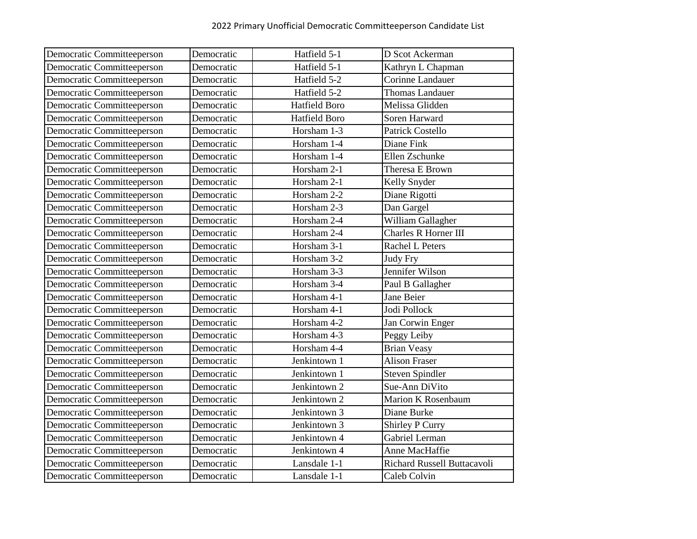| Democratic Committeeperson | Democratic | Hatfield 5-1         | D Scot Ackerman             |
|----------------------------|------------|----------------------|-----------------------------|
| Democratic Committeeperson | Democratic | Hatfield 5-1         | Kathryn L Chapman           |
| Democratic Committeeperson | Democratic | Hatfield 5-2         | Corinne Landauer            |
| Democratic Committeeperson | Democratic | Hatfield 5-2         | <b>Thomas Landauer</b>      |
| Democratic Committeeperson | Democratic | <b>Hatfield Boro</b> | Melissa Glidden             |
| Democratic Committeeperson | Democratic | <b>Hatfield Boro</b> | Soren Harward               |
| Democratic Committeeperson | Democratic | Horsham 1-3          | <b>Patrick Costello</b>     |
| Democratic Committeeperson | Democratic | Horsham 1-4          | Diane Fink                  |
| Democratic Committeeperson | Democratic | Horsham 1-4          | Ellen Zschunke              |
| Democratic Committeeperson | Democratic | Horsham 2-1          | Theresa E Brown             |
| Democratic Committeeperson | Democratic | Horsham 2-1          | Kelly Snyder                |
| Democratic Committeeperson | Democratic | Horsham 2-2          | Diane Rigotti               |
| Democratic Committeeperson | Democratic | Horsham 2-3          | Dan Gargel                  |
| Democratic Committeeperson | Democratic | Horsham 2-4          | William Gallagher           |
| Democratic Committeeperson | Democratic | Horsham 2-4          | Charles R Horner III        |
| Democratic Committeeperson | Democratic | Horsham 3-1          | Rachel L Peters             |
| Democratic Committeeperson | Democratic | Horsham 3-2          | <b>Judy Fry</b>             |
| Democratic Committeeperson | Democratic | Horsham 3-3          | Jennifer Wilson             |
| Democratic Committeeperson | Democratic | Horsham 3-4          | Paul B Gallagher            |
| Democratic Committeeperson | Democratic | Horsham 4-1          | Jane Beier                  |
| Democratic Committeeperson | Democratic | Horsham 4-1          | Jodi Pollock                |
| Democratic Committeeperson | Democratic | Horsham 4-2          | Jan Corwin Enger            |
| Democratic Committeeperson | Democratic | Horsham 4-3          | Peggy Leiby                 |
| Democratic Committeeperson | Democratic | Horsham 4-4          | <b>Brian Veasy</b>          |
| Democratic Committeeperson | Democratic | Jenkintown 1         | <b>Alison Fraser</b>        |
| Democratic Committeeperson | Democratic | Jenkintown 1         | <b>Steven Spindler</b>      |
| Democratic Committeeperson | Democratic | Jenkintown 2         | Sue-Ann DiVito              |
| Democratic Committeeperson | Democratic | Jenkintown 2         | Marion K Rosenbaum          |
| Democratic Committeeperson | Democratic | Jenkintown 3         | Diane Burke                 |
| Democratic Committeeperson | Democratic | Jenkintown 3         | <b>Shirley P Curry</b>      |
| Democratic Committeeperson | Democratic | Jenkintown 4         | Gabriel Lerman              |
| Democratic Committeeperson | Democratic | Jenkintown 4         | Anne MacHaffie              |
| Democratic Committeeperson | Democratic | Lansdale 1-1         | Richard Russell Buttacavoli |
| Democratic Committeeperson | Democratic | Lansdale 1-1         | Caleb Colvin                |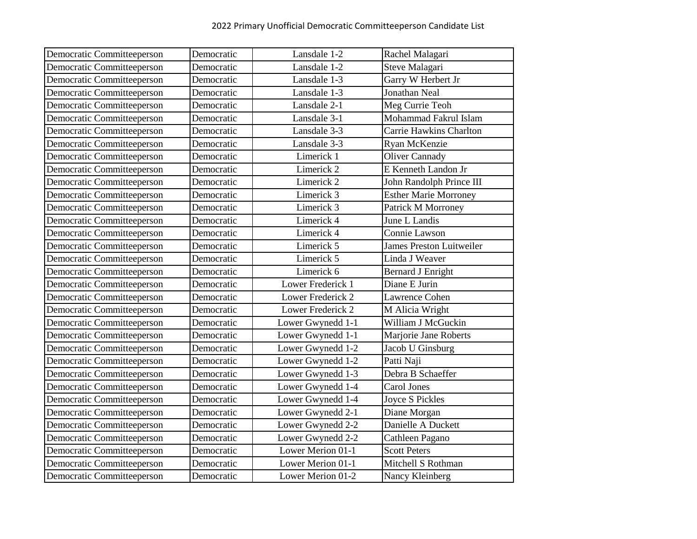| Democratic Committeeperson | Democratic | Lansdale 1-2          | Rachel Malagari                 |
|----------------------------|------------|-----------------------|---------------------------------|
| Democratic Committeeperson | Democratic | Lansdale 1-2          | Steve Malagari                  |
| Democratic Committeeperson | Democratic | Lansdale 1-3          | Garry W Herbert Jr              |
| Democratic Committeeperson | Democratic | Lansdale 1-3          | <b>Jonathan Neal</b>            |
| Democratic Committeeperson | Democratic | Lansdale 2-1          | Meg Currie Teoh                 |
| Democratic Committeeperson | Democratic | Lansdale 3-1          | Mohammad Fakrul Islam           |
| Democratic Committeeperson | Democratic | Lansdale 3-3          | <b>Carrie Hawkins Charlton</b>  |
| Democratic Committeeperson | Democratic | Lansdale 3-3          | Ryan McKenzie                   |
| Democratic Committeeperson | Democratic | Limerick 1            | <b>Oliver Cannady</b>           |
| Democratic Committeeperson | Democratic | Limerick <sub>2</sub> | E Kenneth Landon Jr             |
| Democratic Committeeperson | Democratic | Limerick 2            | John Randolph Prince III        |
| Democratic Committeeperson | Democratic | Limerick 3            | <b>Esther Marie Morroney</b>    |
| Democratic Committeeperson | Democratic | Limerick 3            | Patrick M Morroney              |
| Democratic Committeeperson | Democratic | Limerick 4            | June L Landis                   |
| Democratic Committeeperson | Democratic | Limerick 4            | Connie Lawson                   |
| Democratic Committeeperson | Democratic | Limerick 5            | <b>James Preston Luitweiler</b> |
| Democratic Committeeperson | Democratic | Limerick 5            | Linda J Weaver                  |
| Democratic Committeeperson | Democratic | Limerick 6            | <b>Bernard J Enright</b>        |
| Democratic Committeeperson | Democratic | Lower Frederick 1     | Diane E Jurin                   |
| Democratic Committeeperson | Democratic | Lower Frederick 2     | Lawrence Cohen                  |
| Democratic Committeeperson | Democratic | Lower Frederick 2     | M Alicia Wright                 |
| Democratic Committeeperson | Democratic | Lower Gwynedd 1-1     | William J McGuckin              |
| Democratic Committeeperson | Democratic | Lower Gwynedd 1-1     | Marjorie Jane Roberts           |
| Democratic Committeeperson | Democratic | Lower Gwynedd 1-2     | Jacob U Ginsburg                |
| Democratic Committeeperson | Democratic | Lower Gwynedd 1-2     | Patti Naji                      |
| Democratic Committeeperson | Democratic | Lower Gwynedd 1-3     | Debra B Schaeffer               |
| Democratic Committeeperson | Democratic | Lower Gwynedd 1-4     | <b>Carol Jones</b>              |
| Democratic Committeeperson | Democratic | Lower Gwynedd 1-4     | <b>Joyce S Pickles</b>          |
| Democratic Committeeperson | Democratic | Lower Gwynedd 2-1     | Diane Morgan                    |
| Democratic Committeeperson | Democratic | Lower Gwynedd 2-2     | Danielle A Duckett              |
| Democratic Committeeperson | Democratic | Lower Gwynedd 2-2     | Cathleen Pagano                 |
| Democratic Committeeperson | Democratic | Lower Merion 01-1     | <b>Scott Peters</b>             |
| Democratic Committeeperson | Democratic | Lower Merion 01-1     | Mitchell S Rothman              |
| Democratic Committeeperson | Democratic | Lower Merion 01-2     | Nancy Kleinberg                 |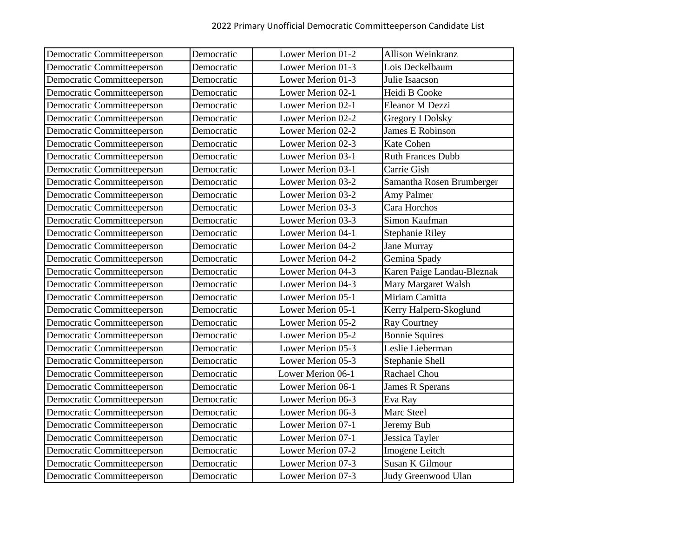| Democratic Committeeperson | Democratic | Lower Merion 01-2 | Allison Weinkranz          |
|----------------------------|------------|-------------------|----------------------------|
| Democratic Committeeperson | Democratic | Lower Merion 01-3 | Lois Deckelbaum            |
| Democratic Committeeperson | Democratic | Lower Merion 01-3 | Julie Isaacson             |
| Democratic Committeeperson | Democratic | Lower Merion 02-1 | Heidi B Cooke              |
| Democratic Committeeperson | Democratic | Lower Merion 02-1 | Eleanor M Dezzi            |
| Democratic Committeeperson | Democratic | Lower Merion 02-2 | <b>Gregory I Dolsky</b>    |
| Democratic Committeeperson | Democratic | Lower Merion 02-2 | <b>James E Robinson</b>    |
| Democratic Committeeperson | Democratic | Lower Merion 02-3 | <b>Kate Cohen</b>          |
| Democratic Committeeperson | Democratic | Lower Merion 03-1 | <b>Ruth Frances Dubb</b>   |
| Democratic Committeeperson | Democratic | Lower Merion 03-1 | Carrie Gish                |
| Democratic Committeeperson | Democratic | Lower Merion 03-2 | Samantha Rosen Brumberger  |
| Democratic Committeeperson | Democratic | Lower Merion 03-2 | Amy Palmer                 |
| Democratic Committeeperson | Democratic | Lower Merion 03-3 | Cara Horchos               |
| Democratic Committeeperson | Democratic | Lower Merion 03-3 | Simon Kaufman              |
| Democratic Committeeperson | Democratic | Lower Merion 04-1 | <b>Stephanie Riley</b>     |
| Democratic Committeeperson | Democratic | Lower Merion 04-2 | <b>Jane Murray</b>         |
| Democratic Committeeperson | Democratic | Lower Merion 04-2 | Gemina Spady               |
| Democratic Committeeperson | Democratic | Lower Merion 04-3 | Karen Paige Landau-Bleznak |
| Democratic Committeeperson | Democratic | Lower Merion 04-3 | Mary Margaret Walsh        |
| Democratic Committeeperson | Democratic | Lower Merion 05-1 | Miriam Camitta             |
| Democratic Committeeperson | Democratic | Lower Merion 05-1 | Kerry Halpern-Skoglund     |
| Democratic Committeeperson | Democratic | Lower Merion 05-2 | <b>Ray Courtney</b>        |
| Democratic Committeeperson | Democratic | Lower Merion 05-2 | <b>Bonnie Squires</b>      |
| Democratic Committeeperson | Democratic | Lower Merion 05-3 | Leslie Lieberman           |
| Democratic Committeeperson | Democratic | Lower Merion 05-3 | Stephanie Shell            |
| Democratic Committeeperson | Democratic | Lower Merion 06-1 | Rachael Chou               |
| Democratic Committeeperson | Democratic | Lower Merion 06-1 | James R Sperans            |
| Democratic Committeeperson | Democratic | Lower Merion 06-3 | Eva Ray                    |
| Democratic Committeeperson | Democratic | Lower Merion 06-3 | Marc Steel                 |
| Democratic Committeeperson | Democratic | Lower Merion 07-1 | Jeremy Bub                 |
| Democratic Committeeperson | Democratic | Lower Merion 07-1 | Jessica Tayler             |
| Democratic Committeeperson | Democratic | Lower Merion 07-2 | <b>Imogene</b> Leitch      |
| Democratic Committeeperson | Democratic | Lower Merion 07-3 | Susan K Gilmour            |
| Democratic Committeeperson | Democratic | Lower Merion 07-3 | Judy Greenwood Ulan        |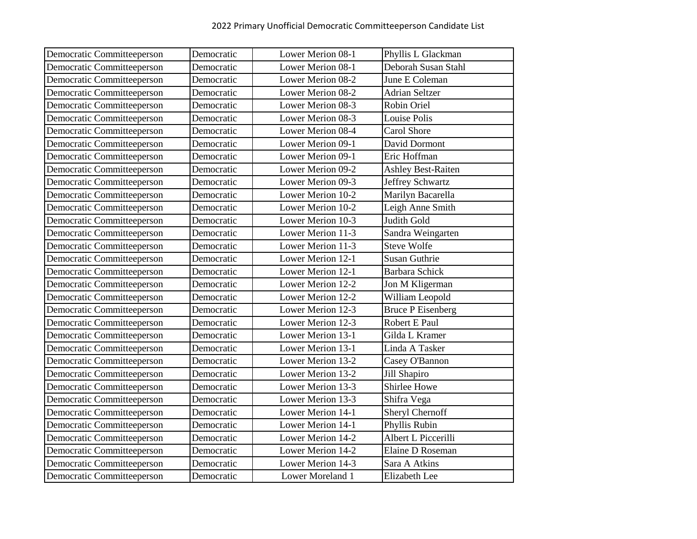| Democratic Committeeperson | Democratic | Lower Merion 08-1 | Phyllis L Glackman        |
|----------------------------|------------|-------------------|---------------------------|
| Democratic Committeeperson | Democratic | Lower Merion 08-1 | Deborah Susan Stahl       |
| Democratic Committeeperson | Democratic | Lower Merion 08-2 | June E Coleman            |
| Democratic Committeeperson | Democratic | Lower Merion 08-2 | <b>Adrian Seltzer</b>     |
| Democratic Committeeperson | Democratic | Lower Merion 08-3 | Robin Oriel               |
| Democratic Committeeperson | Democratic | Lower Merion 08-3 | Louise Polis              |
| Democratic Committeeperson | Democratic | Lower Merion 08-4 | <b>Carol Shore</b>        |
| Democratic Committeeperson | Democratic | Lower Merion 09-1 | David Dormont             |
| Democratic Committeeperson | Democratic | Lower Merion 09-1 | Eric Hoffman              |
| Democratic Committeeperson | Democratic | Lower Merion 09-2 | <b>Ashley Best-Raiten</b> |
| Democratic Committeeperson | Democratic | Lower Merion 09-3 | Jeffrey Schwartz          |
| Democratic Committeeperson | Democratic | Lower Merion 10-2 | Marilyn Bacarella         |
| Democratic Committeeperson | Democratic | Lower Merion 10-2 | Leigh Anne Smith          |
| Democratic Committeeperson | Democratic | Lower Merion 10-3 | Judith Gold               |
| Democratic Committeeperson | Democratic | Lower Merion 11-3 | Sandra Weingarten         |
| Democratic Committeeperson | Democratic | Lower Merion 11-3 | <b>Steve Wolfe</b>        |
| Democratic Committeeperson | Democratic | Lower Merion 12-1 | <b>Susan Guthrie</b>      |
| Democratic Committeeperson | Democratic | Lower Merion 12-1 | <b>Barbara Schick</b>     |
| Democratic Committeeperson | Democratic | Lower Merion 12-2 | Jon M Kligerman           |
| Democratic Committeeperson | Democratic | Lower Merion 12-2 | William Leopold           |
| Democratic Committeeperson | Democratic | Lower Merion 12-3 | <b>Bruce P Eisenberg</b>  |
| Democratic Committeeperson | Democratic | Lower Merion 12-3 | Robert E Paul             |
| Democratic Committeeperson | Democratic | Lower Merion 13-1 | Gilda L Kramer            |
| Democratic Committeeperson | Democratic | Lower Merion 13-1 | Linda A Tasker            |
| Democratic Committeeperson | Democratic | Lower Merion 13-2 | Casey O'Bannon            |
| Democratic Committeeperson | Democratic | Lower Merion 13-2 | Jill Shapiro              |
| Democratic Committeeperson | Democratic | Lower Merion 13-3 | Shirlee Howe              |
| Democratic Committeeperson | Democratic | Lower Merion 13-3 | Shifra Vega               |
| Democratic Committeeperson | Democratic | Lower Merion 14-1 | Sheryl Chernoff           |
| Democratic Committeeperson | Democratic | Lower Merion 14-1 | Phyllis Rubin             |
| Democratic Committeeperson | Democratic | Lower Merion 14-2 | Albert L Piccerilli       |
| Democratic Committeeperson | Democratic | Lower Merion 14-2 | Elaine D Roseman          |
| Democratic Committeeperson | Democratic | Lower Merion 14-3 | Sara A Atkins             |
| Democratic Committeeperson | Democratic | Lower Moreland 1  | Elizabeth Lee             |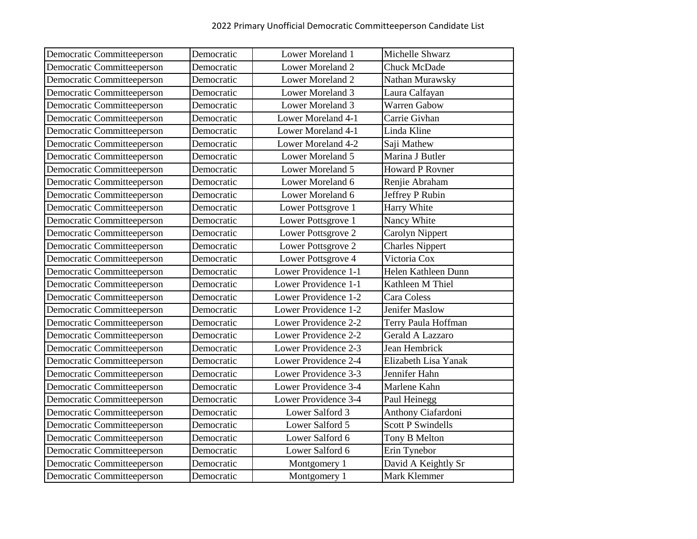| Democratic Committeeperson | Democratic | Lower Moreland 1     | Michelle Shwarz          |
|----------------------------|------------|----------------------|--------------------------|
| Democratic Committeeperson | Democratic | Lower Moreland 2     | Chuck McDade             |
| Democratic Committeeperson | Democratic | Lower Moreland 2     | Nathan Murawsky          |
| Democratic Committeeperson | Democratic | Lower Moreland 3     | Laura Calfayan           |
| Democratic Committeeperson | Democratic | Lower Moreland 3     | <b>Warren Gabow</b>      |
| Democratic Committeeperson | Democratic | Lower Moreland 4-1   | Carrie Givhan            |
| Democratic Committeeperson | Democratic | Lower Moreland 4-1   | Linda Kline              |
| Democratic Committeeperson | Democratic | Lower Moreland 4-2   | Saji Mathew              |
| Democratic Committeeperson | Democratic | Lower Moreland 5     | Marina J Butler          |
| Democratic Committeeperson | Democratic | Lower Moreland 5     | <b>Howard P Rovner</b>   |
| Democratic Committeeperson | Democratic | Lower Moreland 6     | Renjie Abraham           |
| Democratic Committeeperson | Democratic | Lower Moreland 6     | Jeffrey P Rubin          |
| Democratic Committeeperson | Democratic | Lower Pottsgrove 1   | Harry White              |
| Democratic Committeeperson | Democratic | Lower Pottsgrove 1   | Nancy White              |
| Democratic Committeeperson | Democratic | Lower Pottsgrove 2   | Carolyn Nippert          |
| Democratic Committeeperson | Democratic | Lower Pottsgrove 2   | Charles Nippert          |
| Democratic Committeeperson | Democratic | Lower Pottsgrove 4   | Victoria Cox             |
| Democratic Committeeperson | Democratic | Lower Providence 1-1 | Helen Kathleen Dunn      |
| Democratic Committeeperson | Democratic | Lower Providence 1-1 | Kathleen M Thiel         |
| Democratic Committeeperson | Democratic | Lower Providence 1-2 | Cara Coless              |
| Democratic Committeeperson | Democratic | Lower Providence 1-2 | <b>Jenifer Maslow</b>    |
| Democratic Committeeperson | Democratic | Lower Providence 2-2 | Terry Paula Hoffman      |
| Democratic Committeeperson | Democratic | Lower Providence 2-2 | Gerald A Lazzaro         |
| Democratic Committeeperson | Democratic | Lower Providence 2-3 | Jean Hembrick            |
| Democratic Committeeperson | Democratic | Lower Providence 2-4 | Elizabeth Lisa Yanak     |
| Democratic Committeeperson | Democratic | Lower Providence 3-3 | Jennifer Hahn            |
| Democratic Committeeperson | Democratic | Lower Providence 3-4 | Marlene Kahn             |
| Democratic Committeeperson | Democratic | Lower Providence 3-4 | Paul Heinegg             |
| Democratic Committeeperson | Democratic | Lower Salford 3      | Anthony Ciafardoni       |
| Democratic Committeeperson | Democratic | Lower Salford 5      | <b>Scott P Swindells</b> |
| Democratic Committeeperson | Democratic | Lower Salford 6      | Tony B Melton            |
| Democratic Committeeperson | Democratic | Lower Salford 6      | Erin Tynebor             |
| Democratic Committeeperson | Democratic | Montgomery 1         | David A Keightly Sr      |
| Democratic Committeeperson | Democratic | Montgomery 1         | Mark Klemmer             |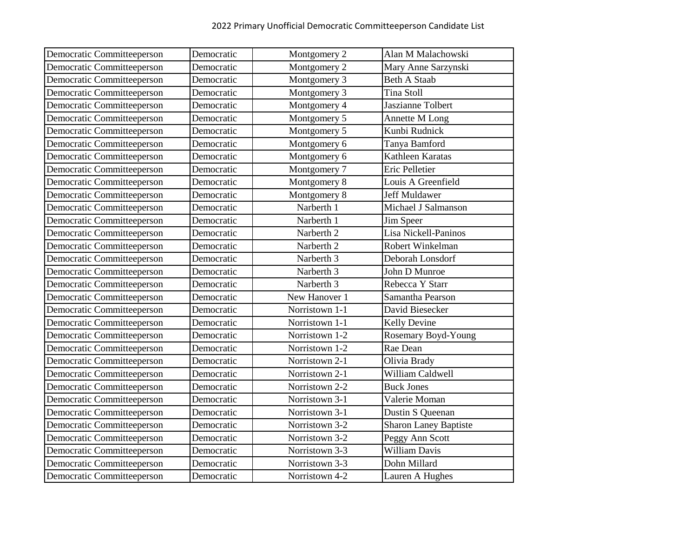| Democratic Committeeperson | Democratic | Montgomery 2          | Alan M Malachowski       |
|----------------------------|------------|-----------------------|--------------------------|
| Democratic Committeeperson | Democratic | Montgomery 2          | Mary Anne Sarzynski      |
| Democratic Committeeperson | Democratic | Montgomery 3          | <b>Beth A Staab</b>      |
| Democratic Committeeperson | Democratic | Montgomery 3          | <b>Tina Stoll</b>        |
| Democratic Committeeperson | Democratic | Montgomery 4          | <b>Jaszianne Tolbert</b> |
| Democratic Committeeperson | Democratic | Montgomery 5          | Annette M Long           |
| Democratic Committeeperson | Democratic | Montgomery 5          | Kunbi Rudnick            |
| Democratic Committeeperson | Democratic | Montgomery 6          | Tanya Bamford            |
| Democratic Committeeperson | Democratic | Montgomery 6          | Kathleen Karatas         |
| Democratic Committeeperson | Democratic | Montgomery 7          | Eric Pelletier           |
| Democratic Committeeperson | Democratic | Montgomery 8          | Louis A Greenfield       |
| Democratic Committeeperson | Democratic | Montgomery 8          | Jeff Muldawer            |
| Democratic Committeeperson | Democratic | Narberth 1            | Michael J Salmanson      |
| Democratic Committeeperson | Democratic | Narberth 1            | Jim Speer                |
| Democratic Committeeperson | Democratic | Narberth <sub>2</sub> | Lisa Nickell-Paninos     |
| Democratic Committeeperson | Democratic | Narberth <sub>2</sub> | Robert Winkelman         |
| Democratic Committeeperson | Democratic | Narberth 3            | Deborah Lonsdorf         |
| Democratic Committeeperson | Democratic | Narberth 3            | John D Munroe            |
| Democratic Committeeperson | Democratic | Narberth 3            | Rebecca Y Starr          |
| Democratic Committeeperson | Democratic | New Hanover 1         | Samantha Pearson         |
| Democratic Committeeperson | Democratic | Norristown 1-1        | David Biesecker          |
| Democratic Committeeperson | Democratic | Norristown 1-1        | Kelly Devine             |
| Democratic Committeeperson | Democratic | Norristown 1-2        | Rosemary Boyd-Young      |
| Democratic Committeeperson | Democratic | Norristown 1-2        | Rae Dean                 |
| Democratic Committeeperson | Democratic | Norristown 2-1        | Olivia Brady             |
| Democratic Committeeperson | Democratic | Norristown 2-1        | William Caldwell         |
| Democratic Committeeperson | Democratic | Norristown 2-2        | <b>Buck Jones</b>        |
| Democratic Committeeperson | Democratic | Norristown 3-1        | Valerie Moman            |
| Democratic Committeeperson | Democratic | Norristown 3-1        | Dustin S Queenan         |
| Democratic Committeeperson | Democratic | Norristown 3-2        | Sharon Laney Baptiste    |
| Democratic Committeeperson | Democratic | Norristown 3-2        | Peggy Ann Scott          |
| Democratic Committeeperson | Democratic | Norristown 3-3        | William Davis            |
| Democratic Committeeperson | Democratic | Norristown 3-3        | Dohn Millard             |
| Democratic Committeeperson | Democratic | Norristown 4-2        | Lauren A Hughes          |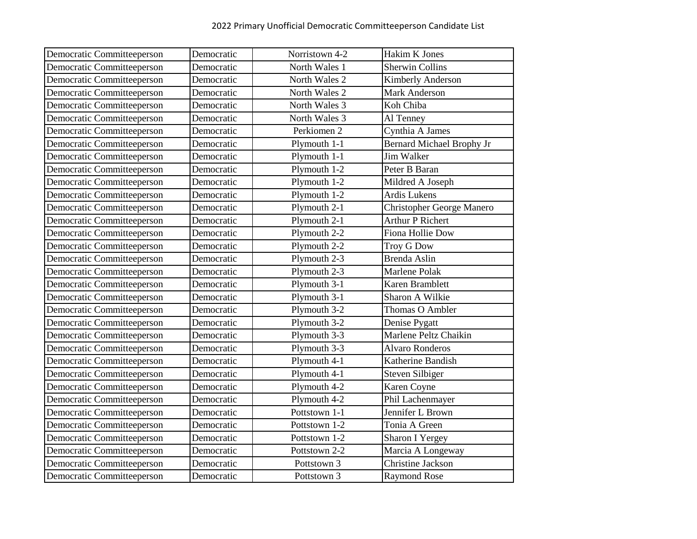| Democratic Committeeperson | Democratic | Norristown 4-2 | Hakim K Jones                    |
|----------------------------|------------|----------------|----------------------------------|
| Democratic Committeeperson | Democratic | North Wales 1  | <b>Sherwin Collins</b>           |
| Democratic Committeeperson | Democratic | North Wales 2  | Kimberly Anderson                |
| Democratic Committeeperson | Democratic | North Wales 2  | <b>Mark Anderson</b>             |
| Democratic Committeeperson | Democratic | North Wales 3  | Koh Chiba                        |
| Democratic Committeeperson | Democratic | North Wales 3  | Al Tenney                        |
| Democratic Committeeperson | Democratic | Perkiomen 2    | Cynthia A James                  |
| Democratic Committeeperson | Democratic | Plymouth 1-1   | <b>Bernard Michael Brophy Jr</b> |
| Democratic Committeeperson | Democratic | Plymouth 1-1   | <b>Jim Walker</b>                |
| Democratic Committeeperson | Democratic | Plymouth 1-2   | Peter B Baran                    |
| Democratic Committeeperson | Democratic | Plymouth 1-2   | Mildred A Joseph                 |
| Democratic Committeeperson | Democratic | Plymouth 1-2   | <b>Ardis Lukens</b>              |
| Democratic Committeeperson | Democratic | Plymouth 2-1   | <b>Christopher George Manero</b> |
| Democratic Committeeperson | Democratic | Plymouth 2-1   | <b>Arthur P Richert</b>          |
| Democratic Committeeperson | Democratic | Plymouth 2-2   | Fiona Hollie Dow                 |
| Democratic Committeeperson | Democratic | Plymouth 2-2   | <b>Troy G Dow</b>                |
| Democratic Committeeperson | Democratic | Plymouth 2-3   | Brenda Aslin                     |
| Democratic Committeeperson | Democratic | Plymouth 2-3   | Marlene Polak                    |
| Democratic Committeeperson | Democratic | Plymouth 3-1   | Karen Bramblett                  |
| Democratic Committeeperson | Democratic | Plymouth 3-1   | Sharon A Wilkie                  |
| Democratic Committeeperson | Democratic | Plymouth 3-2   | Thomas O Ambler                  |
| Democratic Committeeperson | Democratic | Plymouth 3-2   | Denise Pygatt                    |
| Democratic Committeeperson | Democratic | Plymouth 3-3   | Marlene Peltz Chaikin            |
| Democratic Committeeperson | Democratic | Plymouth 3-3   | <b>Alvaro Ronderos</b>           |
| Democratic Committeeperson | Democratic | Plymouth 4-1   | Katherine Bandish                |
| Democratic Committeeperson | Democratic | Plymouth 4-1   | <b>Steven Silbiger</b>           |
| Democratic Committeeperson | Democratic | Plymouth 4-2   | Karen Coyne                      |
| Democratic Committeeperson | Democratic | Plymouth 4-2   | Phil Lachenmayer                 |
| Democratic Committeeperson | Democratic | Pottstown 1-1  | Jennifer L Brown                 |
| Democratic Committeeperson | Democratic | Pottstown 1-2  | Tonia A Green                    |
| Democratic Committeeperson | Democratic | Pottstown 1-2  | <b>Sharon I Yergey</b>           |
| Democratic Committeeperson | Democratic | Pottstown 2-2  | Marcia A Longeway                |
| Democratic Committeeperson | Democratic | Pottstown 3    | <b>Christine Jackson</b>         |
| Democratic Committeeperson | Democratic | Pottstown 3    | <b>Raymond Rose</b>              |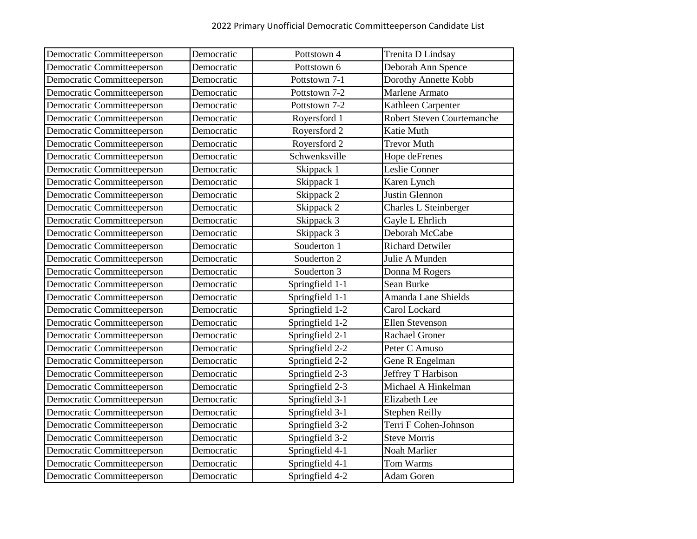| Democratic Committeeperson | Democratic | Pottstown 4     | Trenita D Lindsay                 |
|----------------------------|------------|-----------------|-----------------------------------|
| Democratic Committeeperson | Democratic | Pottstown 6     | Deborah Ann Spence                |
| Democratic Committeeperson | Democratic | Pottstown 7-1   | Dorothy Annette Kobb              |
| Democratic Committeeperson | Democratic | Pottstown 7-2   | Marlene Armato                    |
| Democratic Committeeperson | Democratic | Pottstown 7-2   | Kathleen Carpenter                |
| Democratic Committeeperson | Democratic | Royersford 1    | <b>Robert Steven Courtemanche</b> |
| Democratic Committeeperson | Democratic | Royersford 2    | Katie Muth                        |
| Democratic Committeeperson | Democratic | Royersford 2    | <b>Trevor Muth</b>                |
| Democratic Committeeperson | Democratic | Schwenksville   | Hope deFrenes                     |
| Democratic Committeeperson | Democratic | Skippack 1      | Leslie Conner                     |
| Democratic Committeeperson | Democratic | Skippack 1      | Karen Lynch                       |
| Democratic Committeeperson | Democratic | Skippack 2      | Justin Glennon                    |
| Democratic Committeeperson | Democratic | Skippack 2      | Charles L Steinberger             |
| Democratic Committeeperson | Democratic | Skippack 3      | Gayle L Ehrlich                   |
| Democratic Committeeperson | Democratic | Skippack 3      | Deborah McCabe                    |
| Democratic Committeeperson | Democratic | Souderton 1     | <b>Richard Detwiler</b>           |
| Democratic Committeeperson | Democratic | Souderton 2     | Julie A Munden                    |
| Democratic Committeeperson | Democratic | Souderton 3     | Donna M Rogers                    |
| Democratic Committeeperson | Democratic | Springfield 1-1 | Sean Burke                        |
| Democratic Committeeperson | Democratic | Springfield 1-1 | Amanda Lane Shields               |
| Democratic Committeeperson | Democratic | Springfield 1-2 | Carol Lockard                     |
| Democratic Committeeperson | Democratic | Springfield 1-2 | Ellen Stevenson                   |
| Democratic Committeeperson | Democratic | Springfield 2-1 | Rachael Groner                    |
| Democratic Committeeperson | Democratic | Springfield 2-2 | Peter C Amuso                     |
| Democratic Committeeperson | Democratic | Springfield 2-2 | Gene R Engelman                   |
| Democratic Committeeperson | Democratic | Springfield 2-3 | Jeffrey T Harbison                |
| Democratic Committeeperson | Democratic | Springfield 2-3 | Michael A Hinkelman               |
| Democratic Committeeperson | Democratic | Springfield 3-1 | Elizabeth Lee                     |
| Democratic Committeeperson | Democratic | Springfield 3-1 | <b>Stephen Reilly</b>             |
| Democratic Committeeperson | Democratic | Springfield 3-2 | Terri F Cohen-Johnson             |
| Democratic Committeeperson | Democratic | Springfield 3-2 | <b>Steve Morris</b>               |
| Democratic Committeeperson | Democratic | Springfield 4-1 | Noah Marlier                      |
| Democratic Committeeperson | Democratic | Springfield 4-1 | Tom Warms                         |
| Democratic Committeeperson | Democratic | Springfield 4-2 | <b>Adam Goren</b>                 |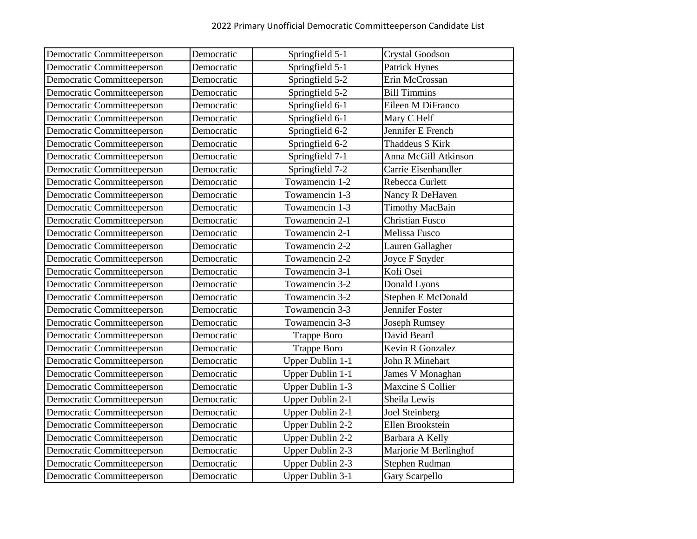| Democratic Committeeperson | Democratic | Springfield 5-1         | <b>Crystal Goodson</b> |
|----------------------------|------------|-------------------------|------------------------|
| Democratic Committeeperson | Democratic | Springfield 5-1         | <b>Patrick Hynes</b>   |
| Democratic Committeeperson | Democratic | Springfield 5-2         | Erin McCrossan         |
| Democratic Committeeperson | Democratic | Springfield 5-2         | <b>Bill Timmins</b>    |
| Democratic Committeeperson | Democratic | Springfield 6-1         | Eileen M DiFranco      |
| Democratic Committeeperson | Democratic | Springfield 6-1         | Mary C Helf            |
| Democratic Committeeperson | Democratic | Springfield 6-2         | Jennifer E French      |
| Democratic Committeeperson | Democratic | Springfield 6-2         | Thaddeus S Kirk        |
| Democratic Committeeperson | Democratic | Springfield 7-1         | Anna McGill Atkinson   |
| Democratic Committeeperson | Democratic | Springfield 7-2         | Carrie Eisenhandler    |
| Democratic Committeeperson | Democratic | Towamencin 1-2          | Rebecca Curlett        |
| Democratic Committeeperson | Democratic | Towamencin 1-3          | Nancy R DeHaven        |
| Democratic Committeeperson | Democratic | Towamencin 1-3          | <b>Timothy MacBain</b> |
| Democratic Committeeperson | Democratic | Towamencin 2-1          | <b>Christian Fusco</b> |
| Democratic Committeeperson | Democratic | Towamencin 2-1          | Melissa Fusco          |
| Democratic Committeeperson | Democratic | Towamencin 2-2          | Lauren Gallagher       |
| Democratic Committeeperson | Democratic | Towamencin 2-2          | Joyce F Snyder         |
| Democratic Committeeperson | Democratic | Towamencin 3-1          | Kofi Osei              |
| Democratic Committeeperson | Democratic | Towamencin 3-2          | Donald Lyons           |
| Democratic Committeeperson | Democratic | Towamencin 3-2          | Stephen E McDonald     |
| Democratic Committeeperson | Democratic | Towamencin 3-3          | Jennifer Foster        |
| Democratic Committeeperson | Democratic | Towamencin 3-3          | <b>Joseph Rumsey</b>   |
| Democratic Committeeperson | Democratic | <b>Trappe Boro</b>      | David Beard            |
| Democratic Committeeperson | Democratic | <b>Trappe Boro</b>      | Kevin R Gonzalez       |
| Democratic Committeeperson | Democratic | Upper Dublin 1-1        | John R Minehart        |
| Democratic Committeeperson | Democratic | Upper Dublin 1-1        | James V Monaghan       |
| Democratic Committeeperson | Democratic | Upper Dublin 1-3        | Maxcine S Collier      |
| Democratic Committeeperson | Democratic | Upper Dublin 2-1        | Sheila Lewis           |
| Democratic Committeeperson | Democratic | Upper Dublin 2-1        | <b>Joel Steinberg</b>  |
| Democratic Committeeperson | Democratic | <b>Upper Dublin 2-2</b> | Ellen Brookstein       |
| Democratic Committeeperson | Democratic | <b>Upper Dublin 2-2</b> | Barbara A Kelly        |
| Democratic Committeeperson | Democratic | Upper Dublin 2-3        | Marjorie M Berlinghof  |
| Democratic Committeeperson | Democratic | <b>Upper Dublin 2-3</b> | Stephen Rudman         |
| Democratic Committeeperson | Democratic | Upper Dublin 3-1        | Gary Scarpello         |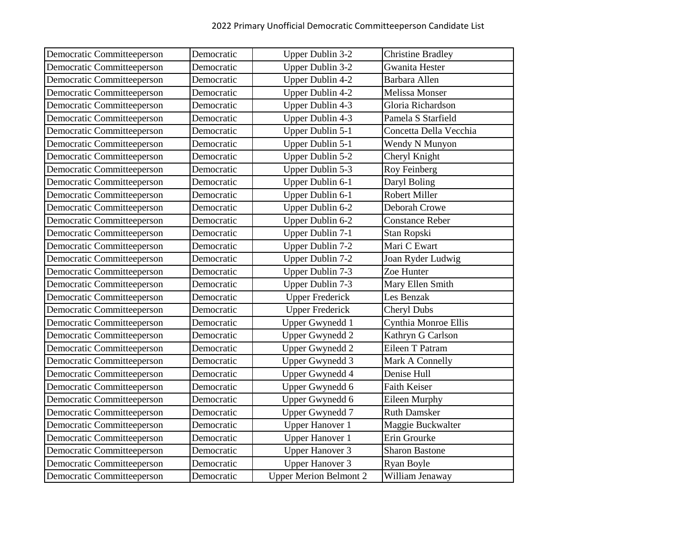| Democratic Committeeperson | Democratic | <b>Upper Dublin 3-2</b>       | <b>Christine Bradley</b> |
|----------------------------|------------|-------------------------------|--------------------------|
| Democratic Committeeperson | Democratic | <b>Upper Dublin 3-2</b>       | <b>Gwanita Hester</b>    |
| Democratic Committeeperson | Democratic | Upper Dublin 4-2              | Barbara Allen            |
| Democratic Committeeperson | Democratic | Upper Dublin 4-2              | <b>Melissa Monser</b>    |
| Democratic Committeeperson | Democratic | Upper Dublin 4-3              | Gloria Richardson        |
| Democratic Committeeperson | Democratic | Upper Dublin 4-3              | Pamela S Starfield       |
| Democratic Committeeperson | Democratic | Upper Dublin 5-1              | Concetta Della Vecchia   |
| Democratic Committeeperson | Democratic | Upper Dublin 5-1              | Wendy N Munyon           |
| Democratic Committeeperson | Democratic | Upper Dublin 5-2              | Cheryl Knight            |
| Democratic Committeeperson | Democratic | Upper Dublin 5-3              | Roy Feinberg             |
| Democratic Committeeperson | Democratic | Upper Dublin 6-1              | Daryl Boling             |
| Democratic Committeeperson | Democratic | Upper Dublin 6-1              | <b>Robert Miller</b>     |
| Democratic Committeeperson | Democratic | Upper Dublin 6-2              | Deborah Crowe            |
| Democratic Committeeperson | Democratic | Upper Dublin 6-2              | <b>Constance Reber</b>   |
| Democratic Committeeperson | Democratic | Upper Dublin 7-1              | Stan Ropski              |
| Democratic Committeeperson | Democratic | Upper Dublin 7-2              | Mari C Ewart             |
| Democratic Committeeperson | Democratic | Upper Dublin 7-2              | Joan Ryder Ludwig        |
| Democratic Committeeperson | Democratic | Upper Dublin 7-3              | Zoe Hunter               |
| Democratic Committeeperson | Democratic | Upper Dublin 7-3              | Mary Ellen Smith         |
| Democratic Committeeperson | Democratic | <b>Upper Frederick</b>        | Les Benzak               |
| Democratic Committeeperson | Democratic | <b>Upper Frederick</b>        | Cheryl Dubs              |
| Democratic Committeeperson | Democratic | Upper Gwynedd 1               | Cynthia Monroe Ellis     |
| Democratic Committeeperson | Democratic | <b>Upper Gwynedd 2</b>        | Kathryn G Carlson        |
| Democratic Committeeperson | Democratic | Upper Gwynedd 2               | Eileen T Patram          |
| Democratic Committeeperson | Democratic | <b>Upper Gwynedd 3</b>        | Mark A Connelly          |
| Democratic Committeeperson | Democratic | Upper Gwynedd 4               | Denise Hull              |
| Democratic Committeeperson | Democratic | Upper Gwynedd 6               | Faith Keiser             |
| Democratic Committeeperson | Democratic | Upper Gwynedd 6               | Eileen Murphy            |
| Democratic Committeeperson | Democratic | <b>Upper Gwynedd 7</b>        | <b>Ruth Damsker</b>      |
| Democratic Committeeperson | Democratic | <b>Upper Hanover 1</b>        | Maggie Buckwalter        |
| Democratic Committeeperson | Democratic | Upper Hanover 1               | Erin Grourke             |
| Democratic Committeeperson | Democratic | <b>Upper Hanover 3</b>        | <b>Sharon Bastone</b>    |
| Democratic Committeeperson | Democratic | <b>Upper Hanover 3</b>        | Ryan Boyle               |
| Democratic Committeeperson | Democratic | <b>Upper Merion Belmont 2</b> | William Jenaway          |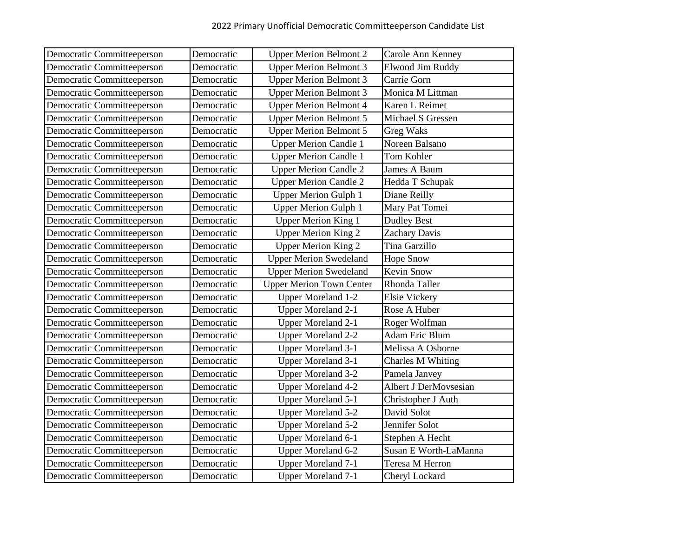| Democratic Committeeperson | Democratic | <b>Upper Merion Belmont 2</b>   | Carole Ann Kenney     |
|----------------------------|------------|---------------------------------|-----------------------|
| Democratic Committeeperson | Democratic | <b>Upper Merion Belmont 3</b>   | Elwood Jim Ruddy      |
| Democratic Committeeperson | Democratic | <b>Upper Merion Belmont 3</b>   | Carrie Gorn           |
| Democratic Committeeperson | Democratic | <b>Upper Merion Belmont 3</b>   | Monica M Littman      |
| Democratic Committeeperson | Democratic | <b>Upper Merion Belmont 4</b>   | Karen L Reimet        |
| Democratic Committeeperson | Democratic | <b>Upper Merion Belmont 5</b>   | Michael S Gressen     |
| Democratic Committeeperson | Democratic | <b>Upper Merion Belmont 5</b>   | <b>Greg Waks</b>      |
| Democratic Committeeperson | Democratic | <b>Upper Merion Candle 1</b>    | Noreen Balsano        |
| Democratic Committeeperson | Democratic | <b>Upper Merion Candle 1</b>    | Tom Kohler            |
| Democratic Committeeperson | Democratic | <b>Upper Merion Candle 2</b>    | <b>James A Baum</b>   |
| Democratic Committeeperson | Democratic | <b>Upper Merion Candle 2</b>    | Hedda T Schupak       |
| Democratic Committeeperson | Democratic | <b>Upper Merion Gulph 1</b>     | Diane Reilly          |
| Democratic Committeeperson | Democratic | <b>Upper Merion Gulph 1</b>     | Mary Pat Tomei        |
| Democratic Committeeperson | Democratic | <b>Upper Merion King 1</b>      | <b>Dudley Best</b>    |
| Democratic Committeeperson | Democratic | <b>Upper Merion King 2</b>      | <b>Zachary Davis</b>  |
| Democratic Committeeperson | Democratic | <b>Upper Merion King 2</b>      | Tina Garzillo         |
| Democratic Committeeperson | Democratic | <b>Upper Merion Swedeland</b>   | <b>Hope Snow</b>      |
| Democratic Committeeperson | Democratic | <b>Upper Merion Swedeland</b>   | <b>Kevin Snow</b>     |
| Democratic Committeeperson | Democratic | <b>Upper Merion Town Center</b> | Rhonda Taller         |
| Democratic Committeeperson | Democratic | <b>Upper Moreland 1-2</b>       | <b>Elsie Vickery</b>  |
| Democratic Committeeperson | Democratic | <b>Upper Moreland 2-1</b>       | Rose A Huber          |
| Democratic Committeeperson | Democratic | <b>Upper Moreland 2-1</b>       | Roger Wolfman         |
| Democratic Committeeperson | Democratic | <b>Upper Moreland 2-2</b>       | <b>Adam Eric Blum</b> |
| Democratic Committeeperson | Democratic | <b>Upper Moreland 3-1</b>       | Melissa A Osborne     |
| Democratic Committeeperson | Democratic | <b>Upper Moreland 3-1</b>       | Charles M Whiting     |
| Democratic Committeeperson | Democratic | <b>Upper Moreland 3-2</b>       | Pamela Janvey         |
| Democratic Committeeperson | Democratic | <b>Upper Moreland 4-2</b>       | Albert J DerMovsesian |
| Democratic Committeeperson | Democratic | <b>Upper Moreland 5-1</b>       | Christopher J Auth    |
| Democratic Committeeperson | Democratic | <b>Upper Moreland 5-2</b>       | David Solot           |
| Democratic Committeeperson | Democratic | <b>Upper Moreland 5-2</b>       | Jennifer Solot        |
| Democratic Committeeperson | Democratic | <b>Upper Moreland 6-1</b>       | Stephen A Hecht       |
| Democratic Committeeperson | Democratic | <b>Upper Moreland 6-2</b>       | Susan E Worth-LaManna |
| Democratic Committeeperson | Democratic | <b>Upper Moreland 7-1</b>       | Teresa M Herron       |
| Democratic Committeeperson | Democratic | <b>Upper Moreland 7-1</b>       | Cheryl Lockard        |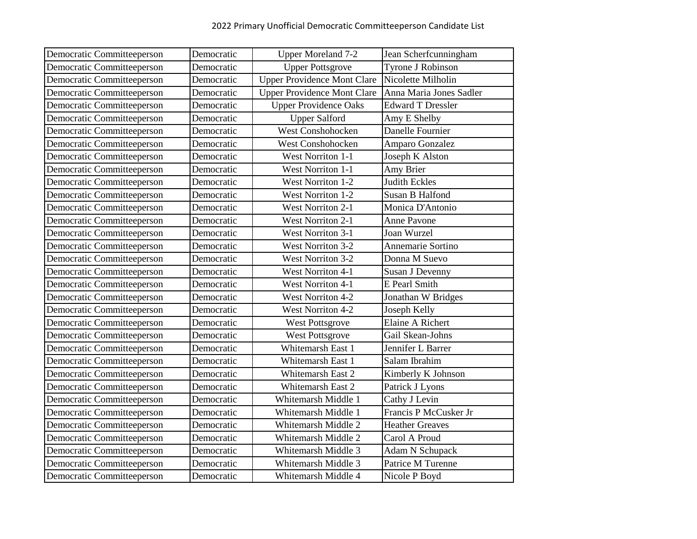| Democratic Committeeperson | Democratic | <b>Upper Moreland 7-2</b>          | Jean Scherfcunningham    |
|----------------------------|------------|------------------------------------|--------------------------|
| Democratic Committeeperson | Democratic | <b>Upper Pottsgrove</b>            | Tyrone J Robinson        |
| Democratic Committeeperson | Democratic | <b>Upper Providence Mont Clare</b> | Nicolette Milholin       |
| Democratic Committeeperson | Democratic | <b>Upper Providence Mont Clare</b> | Anna Maria Jones Sadler  |
| Democratic Committeeperson | Democratic | <b>Upper Providence Oaks</b>       | <b>Edward T Dressler</b> |
| Democratic Committeeperson | Democratic | <b>Upper Salford</b>               | Amy E Shelby             |
| Democratic Committeeperson | Democratic | <b>West Conshohocken</b>           | Danelle Fournier         |
| Democratic Committeeperson | Democratic | West Conshohocken                  | Amparo Gonzalez          |
| Democratic Committeeperson | Democratic | <b>West Norriton 1-1</b>           | Joseph K Alston          |
| Democratic Committeeperson | Democratic | <b>West Norriton 1-1</b>           | Amy Brier                |
| Democratic Committeeperson | Democratic | <b>West Norriton 1-2</b>           | <b>Judith Eckles</b>     |
| Democratic Committeeperson | Democratic | <b>West Norriton 1-2</b>           | Susan B Halfond          |
| Democratic Committeeperson | Democratic | <b>West Norriton 2-1</b>           | Monica D'Antonio         |
| Democratic Committeeperson | Democratic | <b>West Norriton 2-1</b>           | Anne Pavone              |
| Democratic Committeeperson | Democratic | <b>West Norriton 3-1</b>           | Joan Wurzel              |
| Democratic Committeeperson | Democratic | <b>West Norriton 3-2</b>           | Annemarie Sortino        |
| Democratic Committeeperson | Democratic | <b>West Norriton 3-2</b>           | Donna M Suevo            |
| Democratic Committeeperson | Democratic | <b>West Norriton 4-1</b>           | Susan J Devenny          |
| Democratic Committeeperson | Democratic | <b>West Norriton 4-1</b>           | E Pearl Smith            |
| Democratic Committeeperson | Democratic | <b>West Norriton 4-2</b>           | Jonathan W Bridges       |
| Democratic Committeeperson | Democratic | <b>West Norriton 4-2</b>           | Joseph Kelly             |
| Democratic Committeeperson | Democratic | <b>West Pottsgrove</b>             | Elaine A Richert         |
| Democratic Committeeperson | Democratic | <b>West Pottsgrove</b>             | Gail Skean-Johns         |
| Democratic Committeeperson | Democratic | Whitemarsh East 1                  | Jennifer L Barrer        |
| Democratic Committeeperson | Democratic | Whitemarsh East 1                  | Salam Ibrahim            |
| Democratic Committeeperson | Democratic | Whitemarsh East 2                  | Kimberly K Johnson       |
| Democratic Committeeperson | Democratic | Whitemarsh East 2                  | Patrick J Lyons          |
| Democratic Committeeperson | Democratic | Whitemarsh Middle 1                | Cathy J Levin            |
| Democratic Committeeperson | Democratic | Whitemarsh Middle 1                | Francis P McCusker Jr    |
| Democratic Committeeperson | Democratic | Whitemarsh Middle 2                | <b>Heather Greaves</b>   |
| Democratic Committeeperson | Democratic | Whitemarsh Middle 2                | Carol A Proud            |
| Democratic Committeeperson | Democratic | Whitemarsh Middle 3                | <b>Adam N Schupack</b>   |
| Democratic Committeeperson | Democratic | Whitemarsh Middle 3                | Patrice M Turenne        |
| Democratic Committeeperson | Democratic | Whitemarsh Middle 4                | Nicole P Boyd            |